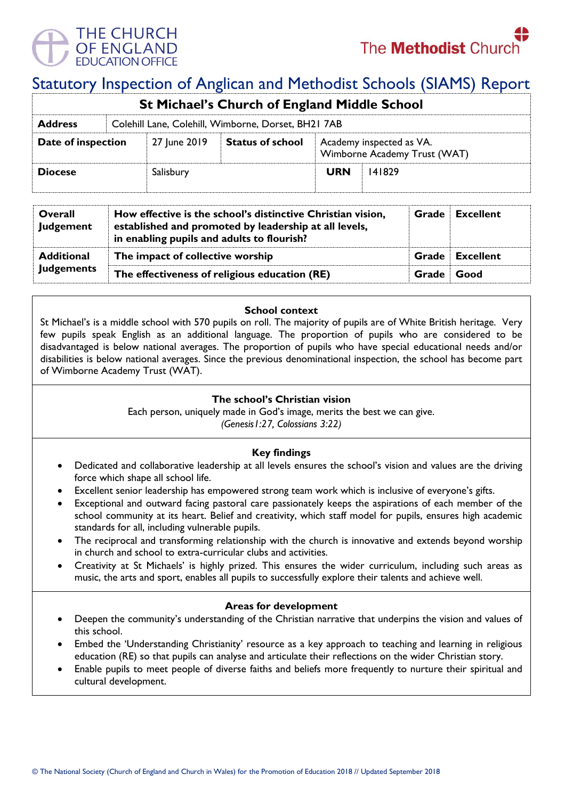

# Statutory Inspection of Anglican and Methodist Schools (SIAMS) Report

| <b>St Michael's Church of England Middle School</b> |                                                     |              |                         |                                                          |        |  |  |  |
|-----------------------------------------------------|-----------------------------------------------------|--------------|-------------------------|----------------------------------------------------------|--------|--|--|--|
| <b>Address</b>                                      | Colehill Lane, Colehill, Wimborne, Dorset, BH21 7AB |              |                         |                                                          |        |  |  |  |
| Date of inspection                                  |                                                     | 27 June 2019 | <b>Status of school</b> | Academy inspected as VA.<br>Wimborne Academy Trust (WAT) |        |  |  |  |
| <b>Diocese</b>                                      |                                                     | Salisbury    |                         | <b>URN</b>                                               | 141829 |  |  |  |

| Overall<br><b>Judgement</b>            | How effective is the school's distinctive Christian vision,<br>established and promoted by leadership at all levels,<br>in enabling pupils and adults to flourish? |       | <b>Grade</b> Excellent |
|----------------------------------------|--------------------------------------------------------------------------------------------------------------------------------------------------------------------|-------|------------------------|
| <b>Additional</b><br><b>Judgements</b> | The impact of collective worship                                                                                                                                   |       | <b>Grade</b> Excellent |
|                                        | The effectiveness of religious education (RE)                                                                                                                      | Grade | <b>Good</b>            |

#### **School context**

St Michael's is a middle school with 570 pupils on roll. The majority of pupils are of White British heritage. Very few pupils speak English as an additional language. The proportion of pupils who are considered to be disadvantaged is below national averages. The proportion of pupils who have special educational needs and/or disabilities is below national averages. Since the previous denominational inspection, the school has become part of Wimborne Academy Trust (WAT).

## **The school's Christian vision**

Each person, uniquely made in God's image, merits the best we can give.

*(Genesis1:27, Colossians 3:22)*

## **Key findings**

- Dedicated and collaborative leadership at all levels ensures the school's vision and values are the driving force which shape all school life.
- Excellent senior leadership has empowered strong team work which is inclusive of everyone's gifts.
- Exceptional and outward facing pastoral care passionately keeps the aspirations of each member of the school community at its heart. Belief and creativity, which staff model for pupils, ensures high academic standards for all, including vulnerable pupils.
- The reciprocal and transforming relationship with the church is innovative and extends beyond worship in church and school to extra-curricular clubs and activities.
- Creativity at St Michaels' is highly prized. This ensures the wider curriculum, including such areas as music, the arts and sport, enables all pupils to successfully explore their talents and achieve well.

## **Areas for development**

- Deepen the community's understanding of the Christian narrative that underpins the vision and values of this school.
- Embed the 'Understanding Christianity' resource as a key approach to teaching and learning in religious education (RE) so that pupils can analyse and articulate their reflections on the wider Christian story.
- Enable pupils to meet people of diverse faiths and beliefs more frequently to nurture their spiritual and cultural development.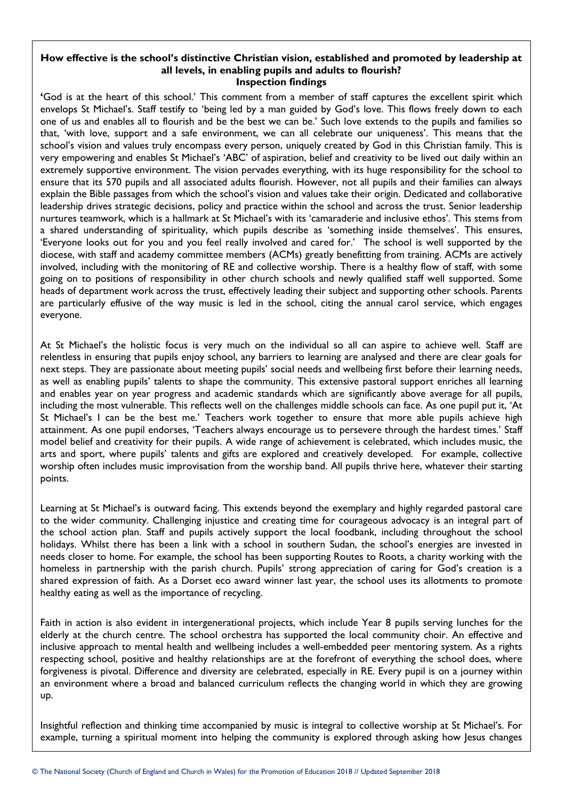#### **How effective is the school's distinctive Christian vision, established and promoted by leadership at all levels, in enabling pupils and adults to flourish? Inspection findings**

**'**God is at the heart of this school.' This comment from a member of staff captures the excellent spirit which envelops St Michael's. Staff testify to 'being led by a man guided by God's love. This flows freely down to each one of us and enables all to flourish and be the best we can be.' Such love extends to the pupils and families so that, 'with love, support and a safe environment, we can all celebrate our uniqueness'. This means that the school's vision and values truly encompass every person, uniquely created by God in this Christian family. This is very empowering and enables St Michael's 'ABC' of aspiration, belief and creativity to be lived out daily within an extremely supportive environment. The vision pervades everything, with its huge responsibility for the school to ensure that its 570 pupils and all associated adults flourish. However, not all pupils and their families can always explain the Bible passages from which the school's vision and values take their origin. Dedicated and collaborative leadership drives strategic decisions, policy and practice within the school and across the trust. Senior leadership nurtures teamwork, which is a hallmark at St Michael's with its 'camaraderie and inclusive ethos'. This stems from a shared understanding of spirituality, which pupils describe as 'something inside themselves'. This ensures, 'Everyone looks out for you and you feel really involved and cared for.' The school is well supported by the diocese, with staff and academy committee members (ACMs) greatly benefitting from training. ACMs are actively involved, including with the monitoring of RE and collective worship. There is a healthy flow of staff, with some going on to positions of responsibility in other church schools and newly qualified staff well supported. Some heads of department work across the trust, effectively leading their subject and supporting other schools. Parents are particularly effusive of the way music is led in the school, citing the annual carol service, which engages everyone.

At St Michael's the holistic focus is very much on the individual so all can aspire to achieve well. Staff are relentless in ensuring that pupils enjoy school, any barriers to learning are analysed and there are clear goals for next steps. They are passionate about meeting pupils' social needs and wellbeing first before their learning needs, as well as enabling pupils' talents to shape the community. This extensive pastoral support enriches all learning and enables year on year progress and academic standards which are significantly above average for all pupils, including the most vulnerable. This reflects well on the challenges middle schools can face. As one pupil put it, 'At St Michael's I can be the best me.' Teachers work together to ensure that more able pupils achieve high attainment. As one pupil endorses, 'Teachers always encourage us to persevere through the hardest times.' Staff model belief and creativity for their pupils. A wide range of achievement is celebrated, which includes music, the arts and sport, where pupils' talents and gifts are explored and creatively developed. For example, collective worship often includes music improvisation from the worship band. All pupils thrive here, whatever their starting points.

Learning at St Michael's is outward facing. This extends beyond the exemplary and highly regarded pastoral care to the wider community. Challenging injustice and creating time for courageous advocacy is an integral part of the school action plan. Staff and pupils actively support the local foodbank, including throughout the school holidays. Whilst there has been a link with a school in southern Sudan, the school's energies are invested in needs closer to home. For example, the school has been supporting Routes to Roots, a charity working with the homeless in partnership with the parish church. Pupils' strong appreciation of caring for God's creation is a shared expression of faith. As a Dorset eco award winner last year, the school uses its allotments to promote healthy eating as well as the importance of recycling.

Faith in action is also evident in intergenerational projects, which include Year 8 pupils serving lunches for the elderly at the church centre. The school orchestra has supported the local community choir. An effective and inclusive approach to mental health and wellbeing includes a well-embedded peer mentoring system. As a rights respecting school, positive and healthy relationships are at the forefront of everything the school does, where forgiveness is pivotal. Difference and diversity are celebrated, especially in RE. Every pupil is on a journey within an environment where a broad and balanced curriculum reflects the changing world in which they are growing up.

Insightful reflection and thinking time accompanied by music is integral to collective worship at St Michael's. For example, turning a spiritual moment into helping the community is explored through asking how Jesus changes